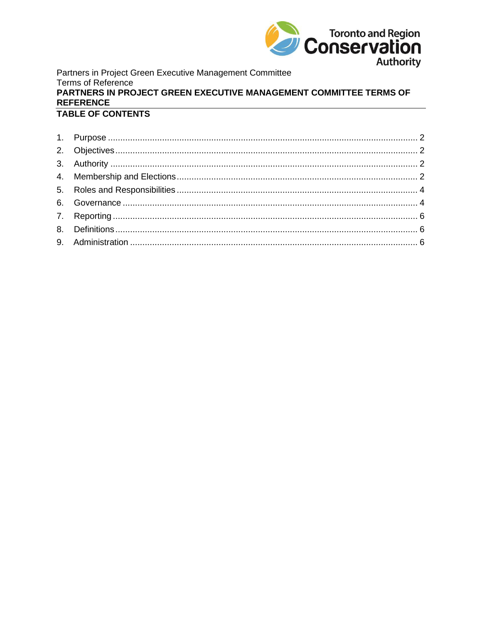

## Partners in Project Green Executive Management Committee **Terms of Reference** PARTNERS IN PROJECT GREEN EXECUTIVE MANAGEMENT COMMITTEE TERMS OF **REFERENCE**

# **TABLE OF CONTENTS**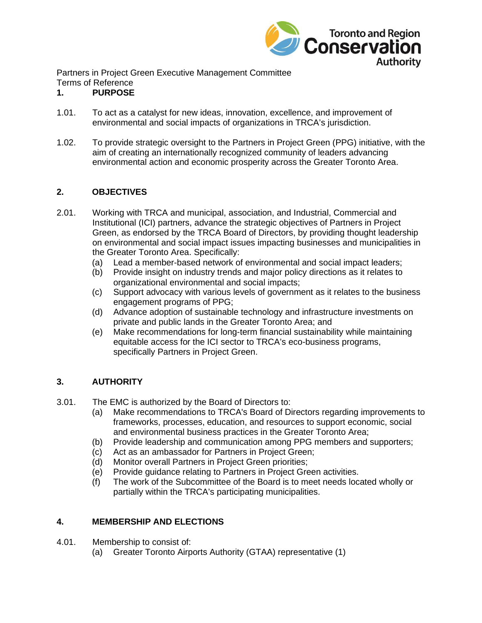

## <span id="page-1-0"></span>**1. PURPOSE**

- 1.01. To act as a catalyst for new ideas, innovation, excellence, and improvement of environmental and social impacts of organizations in TRCA's jurisdiction.
- 1.02. To provide strategic oversight to the Partners in Project Green (PPG) initiative, with the aim of creating an internationally recognized community of leaders advancing environmental action and economic prosperity across the Greater Toronto Area.

# <span id="page-1-1"></span>**2. OBJECTIVES**

- 2.01. Working with TRCA and municipal, association, and Industrial, Commercial and Institutional (ICI) partners, advance the strategic objectives of Partners in Project Green, as endorsed by the TRCA Board of Directors, by providing thought leadership on environmental and social impact issues impacting businesses and municipalities in the Greater Toronto Area. Specifically:
	- (a) Lead a member-based network of environmental and social impact leaders;
	- (b) Provide insight on industry trends and major policy directions as it relates to organizational environmental and social impacts;
	- (c) Support advocacy with various levels of government as it relates to the business engagement programs of PPG;
	- (d) Advance adoption of sustainable technology and infrastructure investments on private and public lands in the Greater Toronto Area; and
	- (e) Make recommendations for long-term financial sustainability while maintaining equitable access for the ICI sector to TRCA's eco-business programs, specifically Partners in Project Green.

# <span id="page-1-2"></span>**3. AUTHORITY**

- 3.01. The EMC is authorized by the Board of Directors to:
	- (a) Make recommendations to TRCA's Board of Directors regarding improvements to frameworks, processes, education, and resources to support economic, social and environmental business practices in the Greater Toronto Area;
	- (b) Provide leadership and communication among PPG members and supporters;
	- (c) Act as an ambassador for Partners in Project Green;
	- (d) Monitor overall Partners in Project Green priorities;
	- (e) Provide guidance relating to Partners in Project Green activities.
	- (f) The work of the Subcommittee of the Board is to meet needs located wholly or partially within the TRCA's participating municipalities.

# <span id="page-1-3"></span>**4. MEMBERSHIP AND ELECTIONS**

- 4.01. Membership to consist of:
	- (a) Greater Toronto Airports Authority (GTAA) representative (1)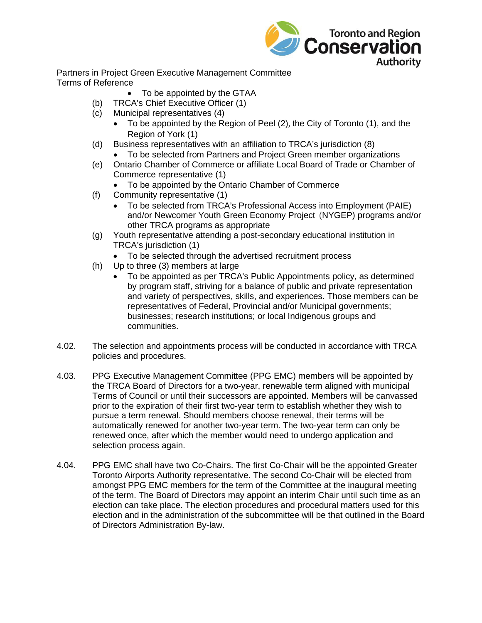

- To be appointed by the GTAA
- (b) TRCA's Chief Executive Officer (1)
- (c) Municipal representatives (4)
	- To be appointed by the Region of Peel (2), the City of Toronto (1), and the Region of York (1)
- (d) Business representatives with an affiliation to TRCA's jurisdiction (8)
	- To be selected from Partners and Project Green member organizations
- (e) Ontario Chamber of Commerce or affiliate Local Board of Trade or Chamber of Commerce representative (1)
	- To be appointed by the Ontario Chamber of Commerce
- (f) Community representative (1)
	- To be selected from TRCA's Professional Access into Employment (PAIE) and/or Newcomer Youth Green Economy Project (NYGEP) programs and/or other TRCA programs as appropriate
- (g) Youth representative attending a post-secondary educational institution in TRCA's jurisdiction (1)
	- To be selected through the advertised recruitment process
- (h) Up to three (3) members at large
	- To be appointed as per TRCA's Public Appointments policy, as determined by program staff, striving for a balance of public and private representation and variety of perspectives, skills, and experiences. Those members can be representatives of Federal, Provincial and/or Municipal governments; businesses; research institutions; or local Indigenous groups and communities.
- 4.02. The selection and appointments process will be conducted in accordance with TRCA policies and procedures.
- 4.03. PPG Executive Management Committee (PPG EMC) members will be appointed by the TRCA Board of Directors for a two-year, renewable term aligned with municipal Terms of Council or until their successors are appointed. Members will be canvassed prior to the expiration of their first two-year term to establish whether they wish to pursue a term renewal. Should members choose renewal, their terms will be automatically renewed for another two-year term. The two-year term can only be renewed once, after which the member would need to undergo application and selection process again.
- 4.04. PPG EMC shall have two Co-Chairs. The first Co-Chair will be the appointed Greater Toronto Airports Authority representative. The second Co-Chair will be elected from amongst PPG EMC members for the term of the Committee at the inaugural meeting of the term. The Board of Directors may appoint an interim Chair until such time as an election can take place. The election procedures and procedural matters used for this election and in the administration of the subcommittee will be that outlined in the Board of Directors Administration By-law.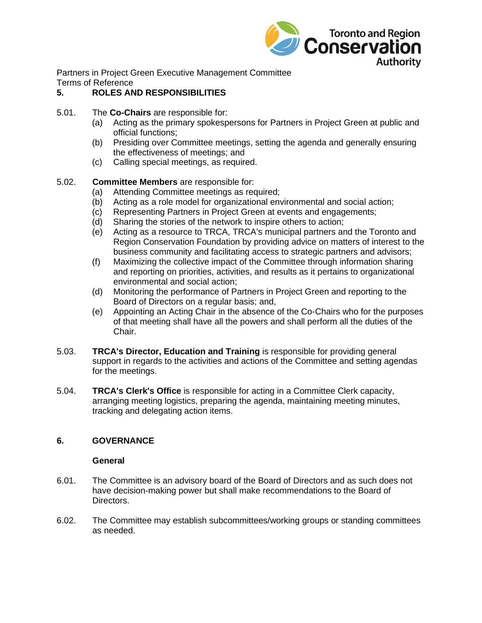

## <span id="page-3-0"></span>**5. ROLES AND RESPONSIBILITIES**

- 5.01. The **Co-Chairs** are responsible for:
	- (a) Acting as the primary spokespersons for Partners in Project Green at public and official functions;
	- (b) Presiding over Committee meetings, setting the agenda and generally ensuring the effectiveness of meetings; and
	- (c) Calling special meetings, as required.

### 5.02. **Committee Members** are responsible for:

- (a) Attending Committee meetings as required;
- (b) Acting as a role model for organizational environmental and social action;
- (c) Representing Partners in Project Green at events and engagements;
- (d) Sharing the stories of the network to inspire others to action;
- (e) Acting as a resource to TRCA, TRCA's municipal partners and the Toronto and Region Conservation Foundation by providing advice on matters of interest to the business community and facilitating access to strategic partners and advisors;
- (f) Maximizing the collective impact of the Committee through information sharing and reporting on priorities, activities, and results as it pertains to organizational environmental and social action;
- (d) Monitoring the performance of Partners in Project Green and reporting to the Board of Directors on a regular basis; and,
- (e) Appointing an Acting Chair in the absence of the Co-Chairs who for the purposes of that meeting shall have all the powers and shall perform all the duties of the Chair.
- 5.03. **TRCA's Director, Education and Training** is responsible for providing general support in regards to the activities and actions of the Committee and setting agendas for the meetings.
- 5.04. **TRCA's Clerk's Office** is responsible for acting in a Committee Clerk capacity, arranging meeting logistics, preparing the agenda, maintaining meeting minutes, tracking and delegating action items.

# <span id="page-3-1"></span>**6. GOVERNANCE**

#### **General**

- 6.01. The Committee is an advisory board of the Board of Directors and as such does not have decision-making power but shall make recommendations to the Board of Directors.
- 6.02. The Committee may establish subcommittees/working groups or standing committees as needed.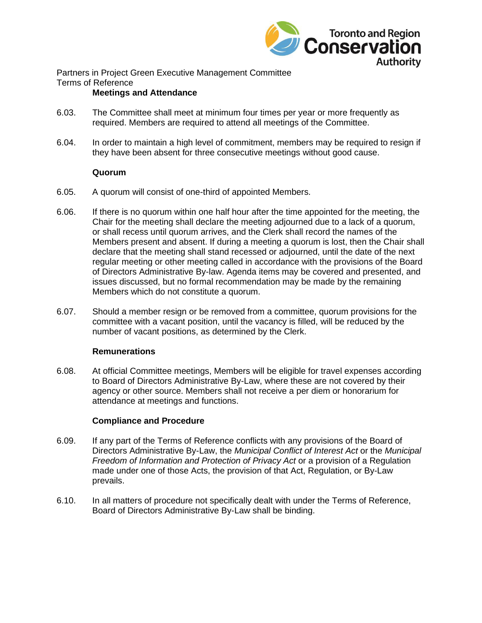

### **Meetings and Attendance**

- 6.03. The Committee shall meet at minimum four times per year or more frequently as required. Members are required to attend all meetings of the Committee.
- 6.04. In order to maintain a high level of commitment, members may be required to resign if they have been absent for three consecutive meetings without good cause.

#### **Quorum**

- 6.05. A quorum will consist of one-third of appointed Members.
- 6.06. If there is no quorum within one half hour after the time appointed for the meeting, the Chair for the meeting shall declare the meeting adjourned due to a lack of a quorum, or shall recess until quorum arrives, and the Clerk shall record the names of the Members present and absent. If during a meeting a quorum is lost, then the Chair shall declare that the meeting shall stand recessed or adjourned, until the date of the next regular meeting or other meeting called in accordance with the provisions of the Board of Directors Administrative By-law. Agenda items may be covered and presented, and issues discussed, but no formal recommendation may be made by the remaining Members which do not constitute a quorum.
- 6.07. Should a member resign or be removed from a committee, quorum provisions for the committee with a vacant position, until the vacancy is filled, will be reduced by the number of vacant positions, as determined by the Clerk.

#### **Remunerations**

6.08. At official Committee meetings, Members will be eligible for travel expenses according to Board of Directors Administrative By-Law, where these are not covered by their agency or other source. Members shall not receive a per diem or honorarium for attendance at meetings and functions.

### **Compliance and Procedure**

- 6.09. If any part of the Terms of Reference conflicts with any provisions of the Board of Directors Administrative By-Law, the *Municipal Conflict of Interest Act* or the *Municipal Freedom of Information and Protection of Privacy Act or a provision of a Regulation* made under one of those Acts, the provision of that Act, Regulation, or By-Law prevails.
- 6.10. In all matters of procedure not specifically dealt with under the Terms of Reference, Board of Directors Administrative By-Law shall be binding.